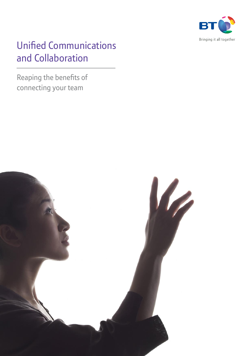

# Unified Communications and Collaboration

Reaping the benefits of connecting your team

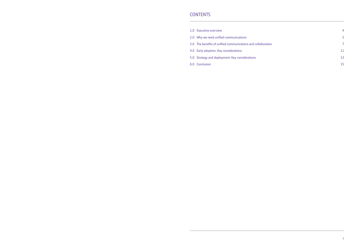# **CONTENTS**

- 1.0 Executive overview
- 2.0 Why we need unified communications
- 3.0 The benefits of unified communications and collaboration
- 4.0 Early adoption: Key considerations
- 5.0 Strategy and deployment: Key considerations
- 6.0 Conclusion

|    | 4  |
|----|----|
|    | 5  |
| on | 7  |
|    | 11 |
|    | 13 |
|    | 15 |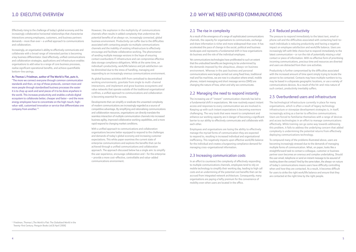# 1.0 Executive overview

Effectively rising to the challenge of today's global economy and the increasingly collaborative horizontal relationships that characterise interactions among employees, customers, and business partners demands – more than ever – a unified approach to communications and collaboration.

Increasingly, an organisation's ability to effectively communicate and collaborate with a broad range of interested parties is becoming a key business differentiator. Used effectively, unified communications and collaboration strategies, applications and infrastructure enables organisations to add value to a range of core business processes, realise significant operational benefits, and achieve quantifiable bottom-line savings.

#### **As Thomas L Friedman, author of The World is Flat, puts it,**

"The more we connect everyone through common communication standards and then, on top of those protocols, connect more and more people through standardised business processes the easier it is to chop up work and send pieces of it to be done anywhere in the world. This increases productivity and enables a whole digital ecosystem to collaborate better, cheaper and faster – and the more energy employees have to concentrate on the high-touch, highvalue-add, customised innovation or service that differentiates one company from another."<sup>1</sup>

However, the explosion in the multiplicity of communications channels often results in added complexity that undermines the potential benefits of an always-on, increasingly connected, global business environment. Productivity can suffer due to the difficulties associated with contacting people via multiple communications channels and the inability of existing infrastructure to effectively encourage and facilitate collaborative working. The phenomenon of sending multiple message versions in the hope of ensuring contact overburdens IT infrastructure and can compromise effective data storage compliance obligations. While at the same time, an individual's productivity, work/life balance and job satisfaction can be diminished due to the stress of handling, managing and responding to an increasingly onerous communications environment.

As global business activities shift from centralised to decentralised working environments, gravitate from single to multi-channel interactions, and implement and grow business ecosystems and value networks that operate outside of the traditional organisational confines, a unified approach to communications and collaboration is becoming essential for success.

Developments that can simplify or eradicate the unwanted complexity of modern communications are increasingly regarded as a source of competitive advantage. By simplifying and rationalising communications and collaboration resources, organisations can directly translate the seamless interaction of multiple communication channels into increased business agility, improved collaborative working capabilities, and a more rapid respond to changing market conditions.

With a unified approach to communications and collaboration organisations become better equipped to respond to the challenges and demands of today's global economy and increasing customer expectations. This white paper examines the current state of enterprise communications and explores the benefits that can be achieved through a unified communications and collaboration approach. The approach discussed below has a single aim: to simplify the user experience, encourage collaboration and – for the enterprise – provide a more cost-effective, controllable and value-added communications environment.

# 2.4 Reduced productivity

 The pressure to respond immediately to the latest text, email or phone call and the difficulties associated with contacting hard-toreach individuals is reducing productivity and having a negative impact on employee satisfaction and work/life balance. Users are increasingly left with little choice but to respond immediately to the latest communication – or run the risk of potentially missing a vital contact or piece of information. With no effective form of prioritising incoming communications, precious time and resources are diverted and users are distracted from their core activities.

<sup>1.</sup> Friedman, Thomas L.The World is Flat: The Globalized World in the Twenty-first Century. Penguin Books Ltd [6 April 2006]

Productivity is further compromised by the difficulties associated with the increased amount of time spent simply trying to locate the person to be contacted. Contacts may have multiple numbers to try, may be based in a disparate geographic locations, or use a variety of communications devices. As a result of the hit-and-miss nature of such contact, productivity inevitably suffers.

# 2.5 Overburdened users and infrastructure

 The technological infrastructure currently in place for many organisations, which is often a result of legacy technology infrastructure or stovepipe development strategies is, in itself, increasingly acting as a barrier to effective communications. Users are forced to familiarise themselves with a range of devices and access technologies in an effort to manage communications effectively. While training can go some way towards addressing this problem, it fails to address the underlying concern that added complexity is undermining the potential returns from effectively deploying communications technology.

 To compound many of the problems illustrated above, users are becoming increasingly stressed due to the demands of managing multiple forms of communication. What, on paper, looks like a straightforward task to contact a colleague, customer or business partner soon becomes an onerous and complex undertaking. Should the user email, telephone or send an instant message to be assured of tracking down the contact? And by the same token, the always-on nature of today's communications means users have difficulty controlling when and how they are contacted. As a result, it becomes difficult for users to strike the right work/life balance and ensure that they are contacted at the right time by the right people.

### 2.1 The rise in complexity

As a result of the emergence of a range of sophisticated communications channels, the capacity for organisations to communicate, exchange and share information is richer and more widespread than ever. It has accelerated the pace of change in the social, political and business landscapes and represents a fundamental shift in how organisations do business and the role of the individual employee.

 Yet communications technologies have proliferated to such an extent that the undoubted benefits are beginning to be undermined by the demands imposed by the ubiquitous, always-on business environment. Whereas in the past business and personal communications were largely carried out using fixed lines, traditional mail and fax machines, we are now in a situation where email, mobile phones, instant messaging and short message service (SMS) are changing the nature of how, when and why we communicate.

# 2.2 Managing the need to respond instantly

 The increasing use of "instant" communication channels has led to a fundamental shift in expectations. We now routinely expect instant access and responses to every communication we are involved in. Keeping up with such instant expectations is becoming evermore challenging. The very tools that were meant to complement and enhance our working capacity are in danger of becoming a significant barrier to our ability to effectively communicate and collaborate with each other.

 Employees and organisations are losing the ability to effectively manage the myriad forms of communication they are expected to respond to, resulting in increased individual and organisational inefficiency. This negatively impacts upon effective work/life balance for the individual and creates a burgeoning compliance demand for managing cross-organisational information.

### 2.3 Increasing communication costs

 In an effort to counteract the complexity of effectively responding to multiple communications channels, employees tend to rely on mobile technology to simplify their working day, leading to high call costs and an undermining of the potential cost benefits that can be accrued from integrated network architecture. Consequently, many organisations are paying a hefty premium for the convenience of mobility even when users are located in the office.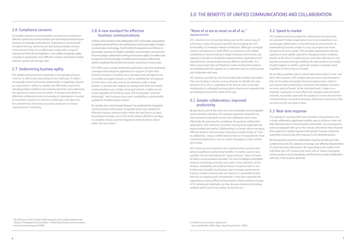# 2.6 Compliance concerns

As multiple versions of communications are used to try and ensure effective contact the communications and technological infrastructure becomes increasingly overburdened. Organisations are faced with the task of storing, retrieving and distributing multiple versions of documents if they are to effectively comply with a range of national and international legislation. Such added complexity makes compliance significantly more difficult to achieve and leads to higher network, system and storage costs.

# 2.7 Undermining business agility

This added communications complexity is increasingly acting as a barrier to effectively responding to the challenge of today's increasingly horizontal business relationships. It negatively impacts an organisation's ability to rapidly and effectively respond to changing market conditions and customer demands, and undermines the capacity to reduce time to market. It hampers the ability to effectively collaborate across and outside an organisation in pursuit of innovative solutions to business challenges, and obstructs the streamlining of business processes necessary to reduce organisational complexity.

 No wonder, then, that Forrester Research has predicted that integrated communications will become recognised as the new standard for effective business communication within the next five to six years. According to Forrester, up to 33% of the Global 2,000 firms are likely to complete at least a partial integrated communications rollout within this time frame.<sup>2</sup>

# 2.8 A new standard for effective business communications

Unified communications and collaboration (UCC) will enable organisations to significantly benefit from the sophistication and functionality of today's communication technology. It will simplify the experience and deliver an automated, seamless and highly controlled communications environment that encourages collaborative working and business agility. It enables users to enjoy the rich functionality of unified communications without the added complexity that has become counter-productive in recent years.

UCC offers users a single multimedia application suite that seamlessly converges with enterprise applications in support of right-time business processes. It enables voice and data to be managed across a centrally converged network, as well as enabling the convergence of wide-area, local-area, and access networks under a single solution. It provides the capacity to manage both fixed and mobile communications over a single converged network, enables secure access regardless of the device used, and incorporates "presence technology" which ensures that a user's availability is automatically updated to facilitate easier contact.

> UCC enhances and streamlines the communications process and delivers significant productivity benefits. It enables users to save valuable time by eliminating the "spray and pray" nature of many of today's communications activities. The use of intelligent embedded presence technology provides users with a clear indication of the location, availability and preferred device recipients wish to use. It helps save valuable time because users no longer waste time by trying to contact someone who isn't there or is unavailable at that time due to ongoing work commitments. It has been reported that organisations using unified communications clients saved an average of 32 minutes per employee, per day, because presence technology enabled staff to reach one another on the first try.<sup>3</sup>

### "None of us are as smart as all of us." Japanese proverb

UCC solutions are increasingly being seen as the mature way of achieving a range of business benefits by leveraging the rich functionality of converged network architecture. Although converged network architecture in itself offers no solutions to the added complexity of communicating in today's business environment, the capacity it provides to seamlessly integrate diverse applications and streamline the communication process delivers real benefits. It is where voice meets data and fixed line meets wireless that solutions are emerging with the capacity to re-empower users to communicate and collaborate with ease.

UCC solutions provide the rich functionality that enables information from any location or device, across networks to identify the user, wherever he or she is, regardless of the device used. It provides intelligently co-ordinated communications devices and networks that are developed around the needs of the user.

# 3.1 Simpler collaboration, improved productivity

By placing the user at the centre of a more controlled and manageable communications interface, UCC solutions represent a powerful mix that empowers individuals to work and collaborate much more effectively. By removing the complexity of operating collaborative applications, UCC enhances innovation and improves organisational responsiveness and agility. Collaborating is no longer about managing different systems and processes; it becomes a simple matter of "click to collaborate," using a unified solution that can incorporate the most convenient applications, such as instant messaging, to best suit the job in hand.

# 3.2 Speed to market

UCC enhances and encourages the collaborative processes that are essential if today's organisations are to be competitive in an increasingly collaborative, horizontal business environment. As teamworking becomes simpler to carry out projects can move forward much more quickly. This provides organisations with the capacity to more rapidly respond to changing market conditions, speeds up the time to market process, and helps add value to core business processes through enabling the right people to be quickly bought together to satisfy a particular project or business need, regardless of where they are located.

By providing seamless links to critical information held in front- and back-office systems, UCC enables users to access vital information that can be easily and quickly shared amongst a team: which in turn ensures that productivity is enhanced and positive outcomes are more easily achieved. At the individual level, it helps to reempower employees to more effectively manage communications channels. It provides users with the capacity to screen and prioritise communications, to avoid unnecessary distractions and ensures they can focus on the core task in hand.

# 3.3 Real-time response

 The capacity to converge both voice and data communications into a single collaborative application enables users to achieve a clear and fully informed view of critical business information. As a consequence users are equipped with up-to-the-minute information that enhances their capacity to rapidly respond to the specific business needs and seamlessly communicate their response to all interested parties.

By leveraging the powerful collaborative capacity of audio and video conferencing tools UCC solutions encourage cost-effective dissemination of critical business information. By responding to the needs of the individual user UCC ensures that voice calls or instant messaging communications can be seamlessly transferred into a video collaboration with ease, if the situation demands.

3 Unified Communications Application: Uses and Benefits, White Paper, Sage Research [Jan. 2006]

<sup>&</sup>lt;sup>2</sup> 'By 2010 up to 33% of Global 2,000 enterprises will complete departmental rollouts of Integrated Communications,' Unified Synchronized Communications Arrives, Forrester Research [2004]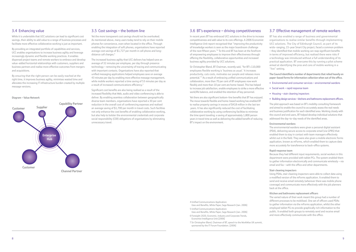# 3.4 Enhancing value

While it is undeniable that UCC solutions can lead to significant cost savings, their ability to add value to a range of business processes and facilitate more effective collaborative working is just as important.

By providing an integrated portfolio of capabilities and services, UCC enables organisations to increase business agility and leverage increasingly dynamic and flexible working practices. It enables dispersed project teams and remote workers to embrace and develop value-added horizontal relationships with customers, suppliers and business partners and realise more effective outcomes from mergers and acquisitions.

 The increased business agility that UCC delivers has helped save an average of 32 minutes per employee, per day through presence technology – removing the uncertainty of tracing and communicating with important contacts. Organisations have also reported that unified messaging applications helped employees save on average 43 minutes per day by enabling more effective message management, while mobile workers reported a time saving of 53 minutes per day as a result of increased communications efficiency.<sup>5</sup>

By ensuring that the right person can be easily reached at the right time, it improves business agility, minimises wasted time and alleviates the increasing IT infrastructure burden created by multiple message versions.

### 3.5 Cost savings – the bottom line

Yet the more transparent cost savings should not be overlooked. As mentioned above, many users today tend to rely on their mobile phones for convenience, even when located in the office. Through enabling the integration of soft phones, organisations have reported average cost savings of \$1,727 per month in cell phone and longdistance call charges.4

> Yet there are also significant bottom-line benefits that BT has enjoyed. The move towards flexible and home-based working has enabled BT to realise property savings in excess of \$418 million in the last ten years. It has also significantly reduced the cost of facilitating collaborative working by using conferencing facilities to minimise the time spent traveling: a saving of approximately 1,800 person years in travel time as well as delivering the added benefit of reducing BT's impact on the environment.

BT has also enabled a range of business and governmental organisations to realise similar benefits through implementing UCC solutions. The City of Edinburgh Council, as part of its wide-ranging, 15-year Smart City project, faced a common problem – they identified that mobile working can reap significant benefits in terms of improved efficiency, but realised there were risks if a technology was introduced without a full understanding of its practical application. BT overcame this by running a pilot scheme aimed at identifying the pros and cons of mobile working in a "live" setting.

Significant cost benefits are also being realised as a result of the increased flexibility that Web, audio and video conferencing is able to deliver. By enabling seamless collaboration between geographically diverse team members, organisations have reported a 30 per cent reduction in the overall cost of conferencing expenses and realised an average saving of \$1,700 per month in travel costs. Such facilities not only enhance the cost benefits of enabling collaborative working, but also help to bolster the environmental credentials and corporate social responsibility (CSR) obligations of organisations by eliminating unnecessary travel.

## 3.6 BT's experience – driving competitiveness

 In recent years BT has embraced UCC solutions in the drive to increase competitiveness and add value to its core offerings. A 2006 Economist Intelligence Unit report recognised that "improving the productivity of knowledge workers is seen as the major boardroom challenge of the next fifteen years."<sup>6</sup> To this end BT has been at the forefront of empowering employees to improve their effectiveness through offering the flexibility, collaborative opportunities and increased business agility provided by UCC solutions.

Sir Christopher Bland, BT Chairman, recently said, "for BT's 110,000 employees flexible working is 'business as usual.' It increases productivity, cuts costs, motivates our people and releases more potential."7 As a result of embracing unified communications and collaboration, more than 70 per cent of BT employees now work flexibly and more than 10 per cent are home-based. This has helped to increase job satisfaction, enable employees to strike a more effective work/life balance, and enabled the retention of key personnel.

# 3.7 Effective management of remote workers

**The Council identified a number of departments that relied heavily on paper-based forms for information collection when out of the office.** 

- Environmental and consumer services environmental wardens
- Social work rapid response team
- Housing stair cleaning inspectors
- Building design services kitchens and bathrooms replacement officers.

The pilot approach was based on BT's mobility consulting framework and aimed to enable the council to accurately assess the real needs and business justification for each identified area. Working closely with the council and end users, BT helped develop individual solutions that addressed the day-to-day needs of the identified areas.

#### **Environmental wardens**

The environmental wardens were given a personal digital assistant (PDA), delivering secure access to corporate email (via GPRS) that enabled them to stay in contact with team managers effectively whilst out in the field. They were also given a mobile electronic forms application, known as mForms, which enabled them to capture data more accurately for transference to back-office systems.

#### **Rapid response team**

Because they had different input requirements, social workers in this department were provided with tablet PCs. The system enabled them to gather information electronically and communicate wirelessly – via email and fax – with the office and other departments.

#### **Stair cleaning inspectors**

Using PDAs, stair cleaning inspectors were able to collect data using a modified version of the mForms application. It enabled them to send and receive email remotely (wherever there was mobile phone coverage) and communicate more effectively with the job planners back at the office.

#### **Kitchen and bathrooms replacement officers**

The varied nature of their work meant this group had a number of different processes to be mobilised. One set of officers used PDAs to gather information via the mForms application, whilst the other employed tablet PCs to provide graphically rich information to the public. It enabled both groups to remotely send and receive email and more effectively communicate with the office.

4 Unified Communications Application:

Uses and Benefits, White Paper, Sage Research [Jan. 2006]

5 Unified Communications Application: Uses and Benefits, White Paper, Sage Research [Jan. 2006]

6 Foresight 2020, Economic, Industry and Corporate Trends,

Economist Intelligence Unit [2006] 7 Sir Christopher Bland, Chairman of BT, speech to the WorkWise UK summit,

sponsored by the IT Forum Foundation. [2006]

#### **Diagram – Value Network**

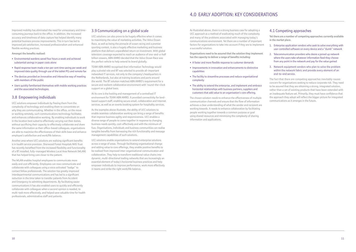As illustrated above, there is a strong business case for adopting a UCC approach as a method of eradicating much of the complexity and many of the problems associated with managing today's communications environment. Yet there are a number of important factors for organisations to take into account if they are to implement a successful solution.

- A faster and more flexible response to customer demands
- Improvements in innovation and enhancements to distinctive capabilities
- The facility to streamline processes and reduce organisational complexity
- The ability to extend the enterprise, and implement and embrace horizontal relationships with business partners, suppliers and customers that add value to an organisation's core offering.

**Organisations need to be assured that the solution they implement has the capacity to deliver a range of benefits including:**

The chosen solution needs to enhance the effectiveness of multiple communication channels and ensure that the flow of information achieves a clear understanding of what the sender and recipient are working towards. It needs to enhance collaboration by facilitating people working together towards a common purpose or goal using shared resources and minimising the complexity of sharing information and applications.

# 4.1 Competing approaches

**Yet there are a number of competing approaches currently available in the market place.** 

- 1. Enterprise application vendors who seek to solve everything with user controlled software on every device and a "dumb" network
- 2. Telecommunication providers who desire a joined up network where the users take whatever information feed they choose from any point in the network and pay for the value gained
- 3. Network equipment vendors who plan to solve the problem within the network fabric and provide every element of an end-to-end service.

The fact that there are competing approaches inevitably causes concern for organisations seeking to reduce corporate risk. They need to be assured that they are obtaining a strong, integrated solution, rather than a set of existing products that have been extended with an inadequate feature set. Primarily, they must have confidence that the approach they adopt will reflect the bigger picture for integrated communications as it emerges in the future.

Improved mobility has eliminated the need for unnecessary and timeconsuming journeys back to the office. In addition, the increased accuracy and timeliness of data capture has helped identify many potential business process improvements. This in turn has led to improved job satisfaction, increased professionalism and enhanced flexible working practices.

#### **Amongst the benefits realised:**

- Environmental wardens saved four hours a week and achieved substantial savings in paper costs alone
- Rapid response team made a ten per cent time saving per week and improved data quality through use of the tablet PCs and remote fax
- The devices provided an innovative and interactive way of meeting with members of the public
- Users quickly familiarised themselves with mobile working practices and the associated technologies.

### 3.8 Empowering individuals

UCC solutions empower individuals by freeing them from the complexity of technology and enabling them to concentrate on why they are communicating. Whether in the office, on the move or working remotely, such communications technology facilitates and enhances collaborative working. By enabling individuals to work in the location best suited to effectively carrying out their duties, without sacrificing their capacity to effectively collaborate and share the same information as their office-based colleagues, organisations are able to maximise the effectiveness of their skills base and enhance employee's satisfaction and work/life balance.

Another area where UCC solutions are realising significant benefits is in health service provision. Sherwood Forest Hospitals NHS Trust has recently benefited from the increased flexibility and functionality of a BT installed, fully-managed Wireless Local Area Network (WLAN) that has helped bring care closer to the patient.

The WLAN enables hospital employees to communicate more easily and cost efficiently. Employees can now communicate and collaborate with colleagues using a voice activated "badge" to contact fellow professionals. The solution has greatly improved interdepartmental communications and has led to a significant reduction in the time taken to transfer patients from Accident and Emergency to admitting departments. By facilitating easier communications it has also enabled users to quickly and efficiently collaborate with colleagues when a second opinion is needed, to multi-task more effectively, and helped save valuable time for health professionals, administrative staff and patients.

### 3.9 Communicating on a global scale

UCC solutions can also prove to be hugely effective when it comes to maximising the value of marketing activities. The Volvo Ocean Race, as well as being the pinnacle of ocean racing and a premier sporting contest, is also a hugely effective marketing and business platform that delivers unparalleled return on investment. With global television coverage expected to reach an audience of one-and-a-half billion viewers, ABN AMRO decided that the Volvo Ocean Race was the perfect vehicle to help extend its brand globally.

TEAM ABN AMRO recognised that Information Technology would play a pivotal role and BT was selected to provide all-important networked IT services, not only to the company's headquarters in the Netherlands, but also at training locations and ports around the world. The BT solution matched ABN AMRO's requirement for a secure and resilient collaborative environment with 'round-the-clock support on a global basis.

At its core is the hosting and management of a centralised IT environment for TEAM ABN AMRO. It provided connectivity for landbased support staff, enabling secure email, collaboration and Internet services, as well as an events booking system for hospitality services.

As the examples above illustrate, the ability of UCC solutions to enable seamless collaborative working can bring a range of benefits that improve business agility and responsiveness. UCC enables a diverse range of people to come together in response to changing business needs quickly, cost-effectively and with the minimum of fuss. Organisations, individuals and business communities can realise tangible benefits from harnessing the rich functionality and message management capabilities of such solutions.

UCC solutions enable organisations to extend enterprise solutions across a range of areas. Through facilitating organisational change and adding value to core offerings, they enable positive benefits to be realised from improved inter-organisational communication and collaboration. They help to transform traditional value chains into dynamic, multi-directional trading networks that are increasingly an essential element of today's horizontal business practices and help empower individuals to improve performance, work more effectively in teams and strike the right work/life balance.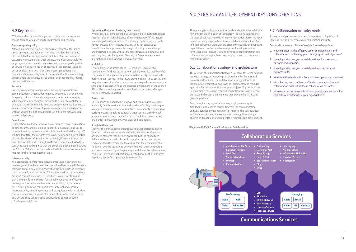# 5.0 Strategy and deployment: Key considerations

The convergence of communication and collaboration is a relatively new trend in the evolution of technology – so it's no surprise that the state of collaboration within many organisations is still relatively immature. Many organisations have a patchwork of point solutions in different business units that are often incompatible and duplicate capabilities across the broader enterprise. A small proportion have taken a big-picture view and developed communication and collaboration strategies that cover people, process, structure and technology aspects.

## 5.1 Collaboration strategy and architecture

The purpose of collaboration strategy is to enable the organisational business strategy by improving collaboration effectiveness and business performance. The collaboration strategy informs the collaboration architecture and takes an incremental and modular approach, based on prioritised business projects. Key projects can be identified by assessing collaboration hotspots across your core processes and focusing on the areas that provide the fastest and greatest payback.

Even though many organisations may employ an enterprise architecture approach to their IT strategy, the communication and collaboration component is often missing. The collaboration architecture articulates the coherent technology blueprint, gap analysis and roadmap for incremental investment and development.

# 5.2 Collaboration maturity model

So how would you assess the strategic importance of getting this right and how can you assess your collaboration maturity?

**One way is to answer this set of straightforward questions:** 

- 1. How important is the effective use of communication and collaboration to achieving your strategic goals and objectives?
- 2. How dependent are you on collaborating with customers, partners and suppliers?
- 3. How dependent are you on collaborating across internal business units?
- 4. Where are the collaboration hotspots across your core processes?
- 5. What barriers and conflicts to effective communication and collaboration exist within these collaboration hotspots?
- 6. Who owns the business-led collaboration strategy and enabling technology architecture in your organisation?

## 4.2 Key criteria

BT believes there are vitally important criteria that the customer should demand when seeking to implement a UCC solution.

#### **Business-grade quality**

Although a variety of products are currently available that make use of emerging technologies, it is important that the "business fit" is suitable for the organisation. Solutions that are orientated towards the consumer and small business are often unsuitable for large organizations, and there is a risk that business-grade quality of service will be sacrificed by choosing an "economical" solution. Let us be clear here: what is at stake is an organisation's vital communications and they need to be certain that the solution they choose offers the business-grade quality and support they require, now and in the future.

#### **Security**

Security is of primary concern when managing organisational communications. Organisations need to be assured that employing innovative collaborative technologies such as instant messaging will not compromise security. They need to be able to confidently deploy a range of communications and collaborative applications that enhance horizontal relationships with a range of interested parties, without undermining the essential security of their networks and intellectual property.

#### **Compliance**

Organisations are today faced with a plethora of regulations relating to data security, and are obliged to provide an accurate and up-todate audit trail of business activities. It is therefore vital that any UCC solution facilitates the accurate recording, storage and dissemination of critical business information. For example, if a trader is given an order to buy 500 shares through an IM discussion, there has to be a sufficient audit trail to prove that the buyer did indeed mean 500 and not 50 or 5,000, and that information has to be stored in a compliant manner for the correct length of time.

#### **Interoperability**

As a consequence of stovepipe development and legacy systems, many organisations have complex network architecture, which means they don't have a complete picture of all the infrastructure elements that the organisation possesses. This obviously raises concerns about ensuring compatibility with UCC solutions. In an effort to ensure that they benefit from the rich functionality required to effectively leverage today's horizontal business relationships, organisations must select a solution that guarantees internal and external interoperability. In doing so they will be equipped with a solution that can maximise the value of a range of business relationships and ensure that collaborative applications do not become a "colleague-only" tool.

#### **Optimising the value of existing investments**

When choosing to implement a UCC solution it is important to ensure that the solution makes best use of existing network infrastructure or converged solutions such as IP Telephony. By ensuring a suitable fit with existing infrastructure, organisations can continue to benefit from the improvements brought about by recent change and migration projects, while at the same time, maximising ROI and reducing the cost of upgrades. After all, UCC solutions are about integrating communications, not replacing them.

#### **Scalability**

Ensuring the future scalability of UCC solutions is an essential consideration for those organisations seeking to realise their benefits. They must avoid implementing solutions that satisfy the immediate business need, yet may in the future prove problematic as uptake and usage increases. If solutions need to be re-designed or replaced every time a business goal shifts or the business environment changes, then ROI will be low and any positive organisational or process changes will be negatively impacted.

#### **Ease of use**

UCC solutions also need to be intuitive and enable users to quickly and easily familiarise themselves with the benefits they can bring to a range of essential work processes. With their capacity to encourage positive organisational and cultural change, both at an individual and enterprise wide and beyond level, UCC solutions can act as key enabler for improving the way we work and collaborate.

#### **A path to the future**

Many of the unified communications and collaboration solutions referred to above are currently available, yet many of the more advanced features that such an approach has the capacity to deliver will not be available until some time in the near future. Early adopters, therefore, need to ensure that their communications solutions have the capacity to evolve in line with their competitors and do not require a "rip and replace' approach for further advancement. As a result, any solution that is implemented now must be standardsbased and be, as far as possible, future-proofed.

#### **Diagram – Unified Communications and Collaboration**



|                               | n Services                                                                                                              |  |  |  |  |
|-------------------------------|-------------------------------------------------------------------------------------------------------------------------|--|--|--|--|
| t<br>Agt<br>t<br>scovery      | <b>Identity Mgt</b><br>Authentication<br>$\bullet$<br>• Information Rights Mgt<br>• Directory Service<br>• Notification |  |  |  |  |
|                               |                                                                                                                         |  |  |  |  |
| work<br>rk<br>rvice<br>rvice! | <b>Messaging</b><br><b>Audio</b><br><b>Email</b><br><b>Calendar</b><br>Video $ $<br>IM                                  |  |  |  |  |
| ions Services                 |                                                                                                                         |  |  |  |  |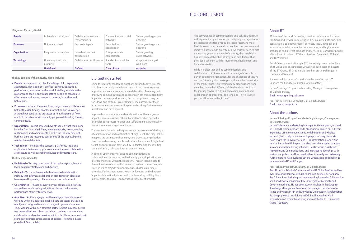**The key domains of the maturity model include:** 

- People encompass the roles, knowledge, skills, experience, aspirations, development, profiles, culture, utilisation, performance, motivation and reward. Installing a collaborative platform and tools is one thing; getting people to collaborate effectively may involve changes to rewards, incentives and behaviours.
- **Processes** includes the value flows, stages, events, collaboration **•** hotspots, costs, timing, people, information and knowledge. Although we tend to see processes as neat diagrams of flows, much of the actual work is done by people collaborating towards common goals.
- Organisation covers how you have structured what you do and includes functions, disciplines, people networks, teams, metrics, relationships and commitments. Conflicts in the way different business units are measured cause some of the biggest barriers to effective collaboration.
- **Technology**  includes the content, platforms, tools and **•** applications that make up your communications and collaboration architecture as well as enabling devices and infrastructure.

- Undefined You may have some of the basics in place, but you lack a coherent strategy and architecture.
- **Defined** You have developed a business-led collaboration strategy that informs a collaboration architecture in place and have started improving collaboration across business units.
- **Co-ordinated** Phased delivery on your collaboration strategy **•** and architecture is having a significant impact on improving performance at the enterprise level.
- **Adaptive** At this stage you will have aligned flexible ways of working with collaboration-enabled core processes that can be readily re-configured to match changes in your environment (e.g., working with a new strategic partner). Users may have access to a personalised workplace that brings together communication, collaboration and content services within a flexible environment that seamlessly operates across a range of devices – from Web-based portal to PDA to mobile.

**The key stages include:** 

## 5.3 Getting started

Using the maturity model and questions outlined above, you can start by making a high-level assessment of the current state and importance of communication and collaboration. Assuming that improving communication and collaboration can make a significant impact on business performance, the next steps are to carry out top-down and bottom-up assessments. The outcomes of these assessments are a target-state blueprint and roadmap for incremental investment and development.

Improved communications and collaboration will have a greater impact in some areas than others. For instance, when applied in a complex core process hotspot that suffers from delays or quality issues, it can make a significant impact.

The next steps include making a top-down assessment of the impact of communication and collaboration at high-level. This may include mapping the business environment, core processes, organisation structure and assessing people and culture dimensions. A high-level target blueprint can be developed by understanding the resulting communication, collaboration and content needs.

A bottom-up inventory of existing communication and collaboration assets can be used to identify gaps, duplications and interdependencies within the blueprint. This can then be used to determine the modular and incremental roadmap towards targetstate, in which projects deliver capabilities based on business priorities. For instance, you may start by focusing on the highestimpact collaboration hotspot, which delivers a key building block in Project One that is re-used across all subsequent projects.

 The convergence of communications and collaboration may well represent a significant opportunity for your organisation. By exploiting this trend you can respond faster and more flexibly to customer demands, streamline core processes and improve innovation. In order to achieve this you need to first understand your current level of maturity, then establish a business-led collaboration strategy and architecture that provides a coherent path for investment, development and benefit realisation.

While it is clear that unified communications and collaboration (UCC) solutions will have a significant role to play in equipping organisations for the challenges of today's and the future's global marketplace, the relative immaturity of the marketplace is preventing many organisations from travelling down the UCC road. While there is no doubt that the journey towards a fully unified communications and collaboration approach will be a long one  $-$  is it a journey you can afford not to begin now?

# About BT

BT is one of the world's leading providers of communications solutions and services operating in 170 countries. Its principal activities include networked IT services, local, national and international telecommunications services, and higher-value broadband and Internet products and services. BT consists principally of four lines of business: BT Global Services, Openreach, BT Retail and BT Wholesale.

British Telecommunications plc (BT) is a wholly owned subsidiary of BT Group and encompasses virtually all businesses and assets of the BT Group. BT Group plc is listed on stock exchanges in London and New York.

If you would like more information on the benefits that UCC solutions can bring to your organisation, contact:

Jeroen Spierings, Proposition Marketing Manager, Convergence, BT Global Services.

Email: jeroen.spierings@bt.com

Paul Riches, Principal Consultant, BT Global Services Email: paul.riches@bt.com

## About the authors

**Jeroen Spierings Proposition Marketing Manager, Convergence, BT Global Services.**

Jeroen Spierings is a Marketing Manager for Convergence, focused on Unified Communications and Collaboration. Jeroen has 14 years experience using communications, collaboration and wireless technologies to help increase employee productivity. He works closely with the Convergence and IT Transformation product and service line within BT, helping translate overall marketing strategy into operational marketing activities. He also works closely with Marketing and Communications, and manages relationships with partners, suppliers, and key stakeholders, internally and externally. Furthermore he has developed several whitepapers and spoken at seminars in the US and Europe.

**Paul Riches, Principal Consultant, BT Global Services**  Paul Riches is a Principal Consultant within BT Global Services and has over 20 years experience using IT to improve business performance. Paul's focus is on designing and implementing innovative Collaboration and Knowledge Management (KM) strategies for Corporate and Government clients. He has been actively involved in the European Knowledge Management Forum and made major contributions to Trends and Visions in KM and Knowledge Organisation Transformation Roadmaps projects. In addition to KM, Paul has worked within proposition and product marketing and contributed to BT's marketfacing IT strategy.

# 6.0 Conclusion

|                     | <b>Undefined</b>                 | <b>Defined</b>                              | Co-ordinated                       | <b>Adaptive</b>                     |
|---------------------|----------------------------------|---------------------------------------------|------------------------------------|-------------------------------------|
| <b>Technology</b>   | Non-integrated point<br>products | Collaboration architecture                  | Standardised modular<br>tools      | Adaptive converged<br>workplace     |
| <b>Organisation</b> | Fragmented stovepipes            | Inter-business unit<br>collaboration        | Enterprise-wide<br>collaboration   | Self-organising<br>value networks   |
| <b>Processes</b>    | Not synchronised                 | Process hotspots                            | Decentralised<br>coordination      | Self-organising process<br>networks |
| People              | Isolated and misaligned          | Collaborative roles and<br>responsibilities | Communities and social<br>networks | Self-organising people<br>networks  |

**Diagram – Maturity Nodel**